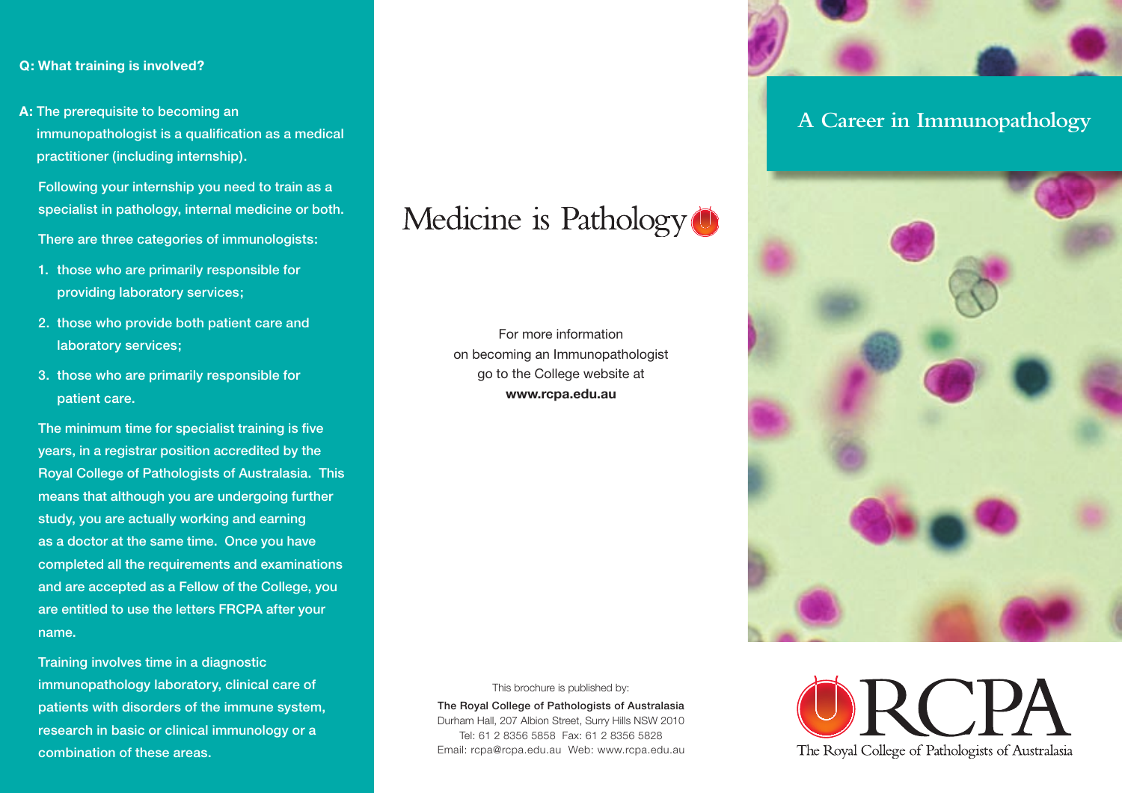### **Q: What training is involved?**

**A:** The prerequisite to becoming an immunopathologist is a qualification as a medical practitioner (including internship).

 Following your internship you need to train as a specialist in pathology, internal medicine or both. There are three categories of immunologists:

- 1. those who are primarily responsible for providing laboratory services;
- 2. those who provide both patient care and laboratory services;
- 3. those who are primarily responsible for patient care.

The minimum time for specialist training is five years, in a registrar position accredited by the Royal College of Pathologists of Australasia. This means that although you are undergoing further study, you are actually working and earning as a doctor at the same time. Once you have completed all the requirements and examinations and are accepted as a Fellow of the College, you are entitled to use the letters FRCPA after your name.

 Training involves time in a diagnostic immunopathology laboratory, clinical care of patients with disorders of the immune system, research in basic or clinical immunology or a combination of these areas.



For more information on becoming an Immunopathologist go to the College website at **www.rcpa.edu.au**



The Royal College of Pathologists of Australasia Durham Hall, 207 Albion Street, Surry Hills NSW 2010 Tel: 61 2 8356 5858 Fax: 61 2 8356 5828 Email: rcpa@rcpa.edu.au Web: www.rcpa.edu.au



## **A Career in Immunopathology**